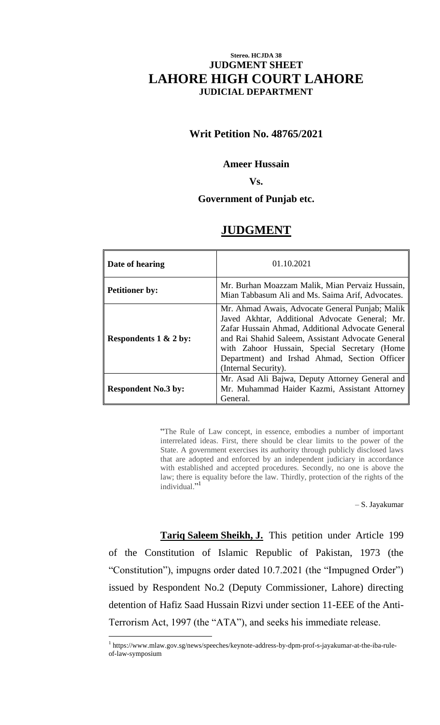# **Stereo. HCJDA 38 JUDGMENT SHEET LAHORE HIGH COURT LAHORE JUDICIAL DEPARTMENT**

# **Writ Petition No. 48765/2021**

### **Ameer Hussain**

**Vs.**

# **Government of Punjab etc.**

# **JUDGMENT**

| Date of hearing                  | 01.10.2021                                                                                                                                                                                                                                                                                                                          |
|----------------------------------|-------------------------------------------------------------------------------------------------------------------------------------------------------------------------------------------------------------------------------------------------------------------------------------------------------------------------------------|
| <b>Petitioner by:</b>            | Mr. Burhan Moazzam Malik, Mian Pervaiz Hussain,<br>Mian Tabbasum Ali and Ms. Saima Arif, Advocates.                                                                                                                                                                                                                                 |
| Respondents $1 \& 2 \text{ by:}$ | Mr. Ahmad Awais, Advocate General Punjab; Malik<br>Javed Akhtar, Additional Advocate General; Mr.<br>Zafar Hussain Ahmad, Additional Advocate General<br>and Rai Shahid Saleem, Assistant Advocate General<br>with Zahoor Hussain, Special Secretary (Home<br>Department) and Irshad Ahmad, Section Officer<br>(Internal Security). |
| <b>Respondent No.3 by:</b>       | Mr. Asad Ali Bajwa, Deputy Attorney General and<br>Mr. Muhammad Haider Kazmi, Assistant Attorney<br>General.                                                                                                                                                                                                                        |

"The Rule of Law concept, in essence, embodies a number of important interrelated ideas. First, there should be clear limits to the power of the State. A government exercises its authority through publicly disclosed laws that are adopted and enforced by an independent judiciary in accordance with established and accepted procedures. Secondly, no one is above the law; there is equality before the law. Thirdly, protection of the rights of the individual."<sup>1</sup>

– S. Jayakumar

**Tariq Saleem Sheikh, J.** This petition under Article 199 of the Constitution of Islamic Republic of Pakistan, 1973 (the "Constitution"), impugns order dated 10.7.2021 (the "Impugned Order") issued by Respondent No.2 (Deputy Commissioner, Lahore) directing detention of Hafiz Saad Hussain Rizvi under section 11-EEE of the Anti-Terrorism Act, 1997 (the "ATA"), and seeks his immediate release.

<sup>&</sup>lt;sup>1</sup> https://www.mlaw.gov.sg/news/speeches/keynote-address-by-dpm-prof-s-jayakumar-at-the-iba-ruleof-law-symposium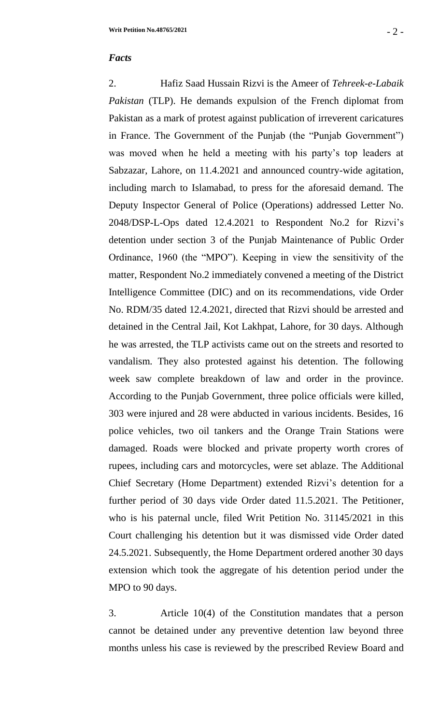#### *Facts*

2. Hafiz Saad Hussain Rizvi is the Ameer of *Tehreek-e-Labaik Pakistan* (TLP). He demands expulsion of the French diplomat from Pakistan as a mark of protest against publication of irreverent caricatures in France. The Government of the Punjab (the "Punjab Government") was moved when he held a meeting with his party's top leaders at Sabzazar, Lahore, on 11.4.2021 and announced country-wide agitation, including march to Islamabad, to press for the aforesaid demand. The Deputy Inspector General of Police (Operations) addressed Letter No. 2048/DSP-L-Ops dated 12.4.2021 to Respondent No.2 for Rizvi's detention under section 3 of the Punjab Maintenance of Public Order Ordinance, 1960 (the "MPO"). Keeping in view the sensitivity of the matter, Respondent No.2 immediately convened a meeting of the District Intelligence Committee (DIC) and on its recommendations, vide Order No. RDM/35 dated 12.4.2021, directed that Rizvi should be arrested and detained in the Central Jail, Kot Lakhpat, Lahore, for 30 days. Although he was arrested, the TLP activists came out on the streets and resorted to vandalism. They also protested against his detention. The following week saw complete breakdown of law and order in the province. According to the Punjab Government, three police officials were killed, 303 were injured and 28 were abducted in various incidents. Besides, 16 police vehicles, two oil tankers and the Orange Train Stations were damaged. Roads were blocked and private property worth crores of rupees, including cars and motorcycles, were set ablaze. The Additional Chief Secretary (Home Department) extended Rizvi's detention for a further period of 30 days vide Order dated 11.5.2021. The Petitioner, who is his paternal uncle, filed Writ Petition No. 31145/2021 in this Court challenging his detention but it was dismissed vide Order dated 24.5.2021. Subsequently, the Home Department ordered another 30 days extension which took the aggregate of his detention period under the MPO to 90 days.

3. Article 10(4) of the Constitution mandates that a person cannot be detained under any preventive detention law beyond three months unless his case is reviewed by the prescribed Review Board and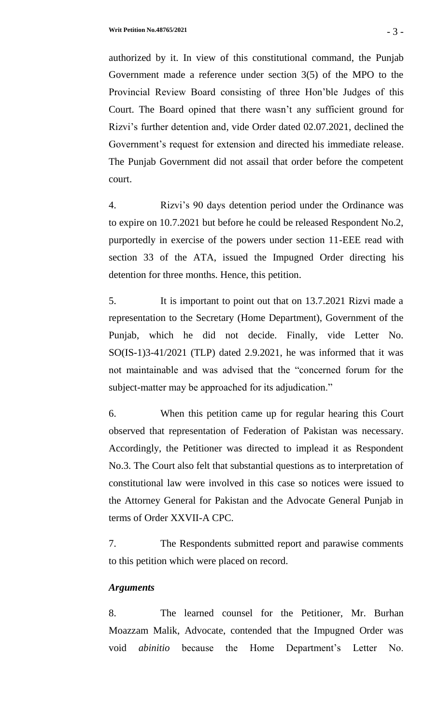authorized by it. In view of this constitutional command, the Punjab Government made a reference under section 3(5) of the MPO to the Provincial Review Board consisting of three Hon'ble Judges of this Court. The Board opined that there wasn't any sufficient ground for Rizvi's further detention and, vide Order dated 02.07.2021, declined the Government's request for extension and directed his immediate release. The Punjab Government did not assail that order before the competent court.

4. Rizvi's 90 days detention period under the Ordinance was to expire on 10.7.2021 but before he could be released Respondent No.2, purportedly in exercise of the powers under section 11-EEE read with section 33 of the ATA, issued the Impugned Order directing his detention for three months. Hence, this petition.

5. It is important to point out that on 13.7.2021 Rizvi made a representation to the Secretary (Home Department), Government of the Punjab, which he did not decide. Finally, vide Letter No. SO(IS-1)3-41/2021 (TLP) dated 2.9.2021, he was informed that it was not maintainable and was advised that the "concerned forum for the subject-matter may be approached for its adjudication."

6. When this petition came up for regular hearing this Court observed that representation of Federation of Pakistan was necessary. Accordingly, the Petitioner was directed to implead it as Respondent No.3. The Court also felt that substantial questions as to interpretation of constitutional law were involved in this case so notices were issued to the Attorney General for Pakistan and the Advocate General Punjab in terms of Order XXVII-A CPC.

7. The Respondents submitted report and parawise comments to this petition which were placed on record.

## *Arguments*

8. The learned counsel for the Petitioner, Mr. Burhan Moazzam Malik, Advocate, contended that the Impugned Order was void *abinitio* because the Home Department's Letter No.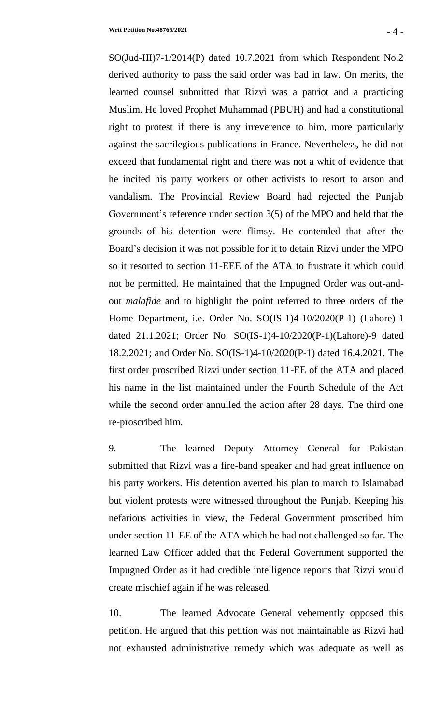SO(Jud-III)7-1/2014(P) dated 10.7.2021 from which Respondent No.2 derived authority to pass the said order was bad in law. On merits, the learned counsel submitted that Rizvi was a patriot and a practicing Muslim. He loved Prophet Muhammad (PBUH) and had a constitutional right to protest if there is any irreverence to him, more particularly against the sacrilegious publications in France. Nevertheless, he did not exceed that fundamental right and there was not a whit of evidence that he incited his party workers or other activists to resort to arson and vandalism. The Provincial Review Board had rejected the Punjab Government's reference under section 3(5) of the MPO and held that the grounds of his detention were flimsy. He contended that after the Board's decision it was not possible for it to detain Rizvi under the MPO so it resorted to section 11-EEE of the ATA to frustrate it which could not be permitted. He maintained that the Impugned Order was out-andout *malafide* and to highlight the point referred to three orders of the Home Department, i.e. Order No. SO(IS-1)4-10/2020(P-1) (Lahore)-1 dated 21.1.2021; Order No. SO(IS-1)4-10/2020(P-1)(Lahore)-9 dated 18.2.2021; and Order No. SO(IS-1)4-10/2020(P-1) dated 16.4.2021. The first order proscribed Rizvi under section 11-EE of the ATA and placed his name in the list maintained under the Fourth Schedule of the Act while the second order annulled the action after 28 days. The third one re-proscribed him.

9. The learned Deputy Attorney General for Pakistan submitted that Rizvi was a fire-band speaker and had great influence on his party workers. His detention averted his plan to march to Islamabad but violent protests were witnessed throughout the Punjab. Keeping his nefarious activities in view, the Federal Government proscribed him under section 11-EE of the ATA which he had not challenged so far. The learned Law Officer added that the Federal Government supported the Impugned Order as it had credible intelligence reports that Rizvi would create mischief again if he was released.

10. The learned Advocate General vehemently opposed this petition. He argued that this petition was not maintainable as Rizvi had not exhausted administrative remedy which was adequate as well as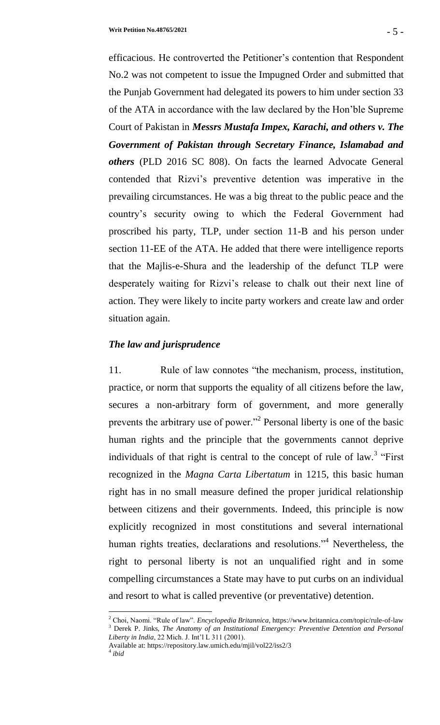efficacious. He controverted the Petitioner's contention that Respondent No.2 was not competent to issue the Impugned Order and submitted that the Punjab Government had delegated its powers to him under section 33 of the ATA in accordance with the law declared by the Hon'ble Supreme Court of Pakistan in *Messrs Mustafa Impex, Karachi, and others v. The Government of Pakistan through Secretary Finance, Islamabad and others* (PLD 2016 SC 808). On facts the learned Advocate General contended that Rizvi's preventive detention was imperative in the prevailing circumstances. He was a big threat to the public peace and the country's security owing to which the Federal Government had proscribed his party, TLP, under section 11-B and his person under section 11-EE of the ATA. He added that there were intelligence reports that the Majlis-e-Shura and the leadership of the defunct TLP were desperately waiting for Rizvi's release to chalk out their next line of action. They were likely to incite party workers and create law and order situation again.

## *The law and jurisprudence*

11. Rule of law connotes "the mechanism, process, institution, practice, or norm that supports the equality of all citizens before the law, secures a non-arbitrary form of government, and more generally prevents the arbitrary use of power."<sup>2</sup> Personal liberty is one of the basic human rights and the principle that the governments cannot deprive individuals of that right is central to the concept of rule of  $law$ <sup>3</sup>. "First recognized in the *Magna Carta Libertatum* in 1215, this basic human right has in no small measure defined the proper juridical relationship between citizens and their governments. Indeed, this principle is now explicitly recognized in most constitutions and several international human rights treaties, declarations and resolutions.<sup>34</sup> Nevertheless, the right to personal liberty is not an unqualified right and in some compelling circumstances a State may have to put curbs on an individual and resort to what is called preventive (or preventative) detention.

<sup>2</sup> Choi, Naomi. "Rule of law". *Encyclopedia Britannica*, https://www.britannica.com/topic/rule-of-law <sup>3</sup> Derek P. Jinks, *The Anatomy of an Institutional Emergency: Preventive Detention and Personal Liberty in India*, 22 Mich. J. Int'l L 311 (2001).

Available at: https://repository.law.umich.edu/mjil/vol22/iss2/3 4 *ibid*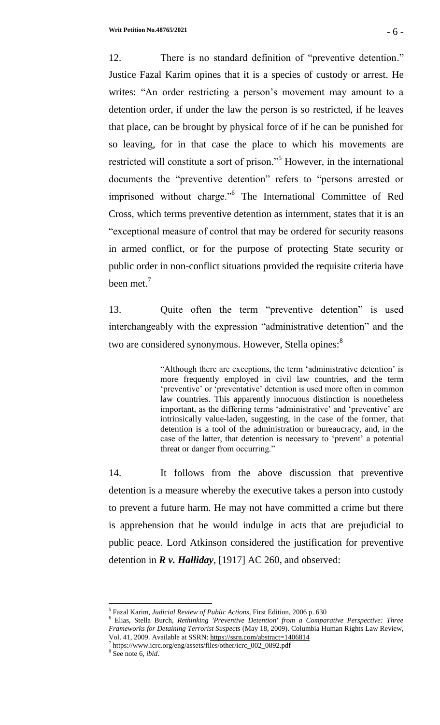12. There is no standard definition of "preventive detention." Justice Fazal Karim opines that it is a species of custody or arrest. He writes: "An order restricting a person's movement may amount to a detention order, if under the law the person is so restricted, if he leaves that place, can be brought by physical force of if he can be punished for so leaving, for in that case the place to which his movements are restricted will constitute a sort of prison."<sup>5</sup> However, in the international documents the "preventive detention" refers to "persons arrested or imprisoned without charge."<sup>6</sup> The International Committee of Red Cross, which terms preventive detention as internment, states that it is an "exceptional measure of control that may be ordered for security reasons in armed conflict, or for the purpose of protecting State security or public order in non-conflict situations provided the requisite criteria have been met.<sup>7</sup>

13. Quite often the term "preventive detention" is used interchangeably with the expression "administrative detention" and the two are considered synonymous. However, Stella opines:<sup>8</sup>

> "Although there are exceptions, the term 'administrative detention' is more frequently employed in civil law countries, and the term 'preventive' or 'preventative' detention is used more often in common law countries. This apparently innocuous distinction is nonetheless important, as the differing terms 'administrative' and 'preventive' are intrinsically value-laden, suggesting, in the case of the former, that detention is a tool of the administration or bureaucracy, and, in the case of the latter, that detention is necessary to 'prevent' a potential threat or danger from occurring."

14. It follows from the above discussion that preventive detention is a measure whereby the executive takes a person into custody to prevent a future harm. He may not have committed a crime but there is apprehension that he would indulge in acts that are prejudicial to public peace. Lord Atkinson considered the justification for preventive detention in *R v. Halliday*, [1917] AC 260, and observed:

7 https://www.icrc.org/eng/assets/files/other/icrc\_002\_0892.pdf

l

<sup>5</sup> Fazal Karim, *Judicial Review of Public Actions*, First Edition, 2006 p. 630

<sup>6</sup> Elias, Stella Burch, *Rethinking 'Preventive Detention' from a Comparative Perspective: Three Frameworks for Detaining Terrorist Suspects* (May 18, 2009). Columbia Human Rights Law Review, Vol. 41, 2009. Available at SSRN: <https://ssrn.com/abstract=1406814>

<sup>8</sup> See note 6, *ibid*.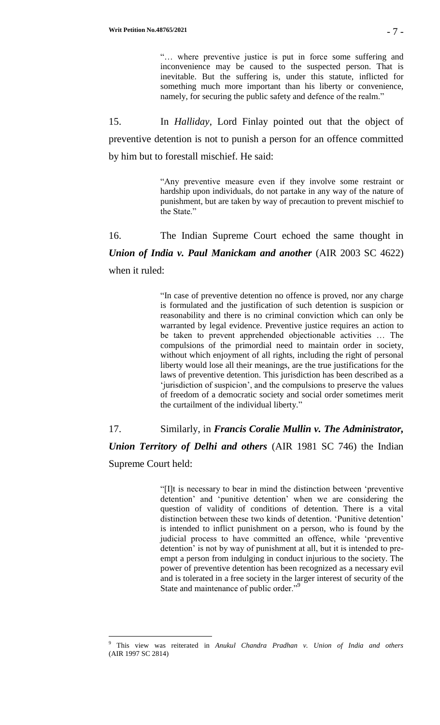"… where preventive justice is put in force some suffering and inconvenience may be caused to the suspected person. That is inevitable. But the suffering is, under this statute, inflicted for something much more important than his liberty or convenience, namely, for securing the public safety and defence of the realm."

15. In *Halliday*, Lord Finlay pointed out that the object of preventive detention is not to punish a person for an offence committed by him but to forestall mischief. He said:

> "Any preventive measure even if they involve some restraint or hardship upon individuals, do not partake in any way of the nature of punishment, but are taken by way of precaution to prevent mischief to the State."

16. The Indian Supreme Court echoed the same thought in *Union of India v. Paul Manickam and another* (AIR 2003 SC 4622) when it ruled:

> "In case of preventive detention no offence is proved, nor any charge is formulated and the justification of such detention is suspicion or reasonability and there is no criminal conviction which can only be warranted by legal evidence. Preventive justice requires an action to be taken to prevent apprehended objectionable activities … The compulsions of the primordial need to maintain order in society, without which enjoyment of all rights, including the right of personal liberty would lose all their meanings, are the true justifications for the laws of preventive detention. This jurisdiction has been described as a 'jurisdiction of suspicion', and the compulsions to preserve the values of freedom of a democratic society and social order sometimes merit the curtailment of the individual liberty."

17. Similarly, in *Francis Coralie Mullin v. The Administrator, Union Territory of Delhi and others* (AIR 1981 SC 746) the Indian Supreme Court held:

> "[I]t is necessary to bear in mind the distinction between 'preventive detention' and 'punitive detention' when we are considering the question of validity of conditions of detention. There is a vital distinction between these two kinds of detention. 'Punitive detention' is intended to inflict punishment on a person, who is found by the judicial process to have committed an offence, while 'preventive detention' is not by way of punishment at all, but it is intended to preempt a person from indulging in conduct injurious to the society. The power of preventive detention has been recognized as a necessary evil and is tolerated in a free society in the larger interest of security of the State and maintenance of public order."<sup>9</sup>

<sup>9</sup> This view was reiterated in *Anukul Chandra Pradhan v. Union of India and others* (AIR 1997 SC 2814)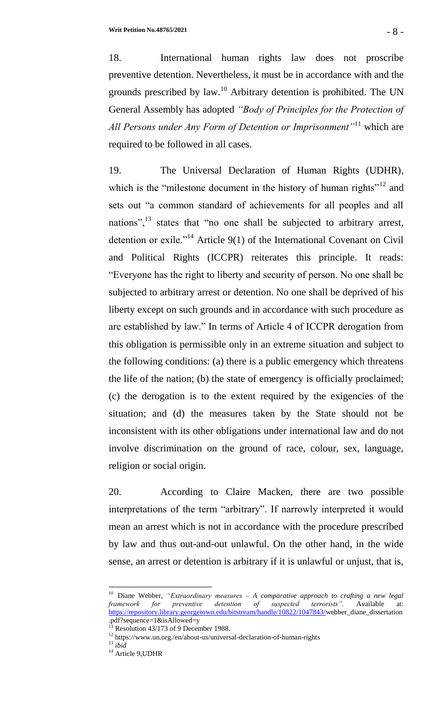18. International human rights law does not proscribe preventive detention. Nevertheless, it must be in accordance with and the grounds prescribed by law.<sup>10</sup> Arbitrary detention is prohibited. The UN General Assembly has adopted *"Body of Principles for the Protection of All Persons under Any Form of Detention or Imprisonment"*<sup>11</sup> which are required to be followed in all cases.

19. The Universal Declaration of Human Rights (UDHR), which is the "milestone document in the history of human rights"<sup>12</sup> and sets out "a common standard of achievements for all peoples and all nations", $^{13}$  states that "no one shall be subjected to arbitrary arrest, detention or exile."<sup>14</sup> Article  $9(1)$  of the International Covenant on Civil and Political Rights (ICCPR) reiterates this principle. It reads: "Everyone has the right to liberty and security of person. No one shall be subjected to arbitrary arrest or detention. No one shall be deprived of his liberty except on such grounds and in accordance with such procedure as are established by law." In terms of Article 4 of ICCPR derogation from this obligation is permissible only in an extreme situation and subject to the following conditions: (a) there is a public emergency which threatens the life of the nation; (b) the state of emergency is officially proclaimed; (c) the derogation is to the extent required by the exigencies of the situation; and (d) the measures taken by the State should not be inconsistent with its other obligations under international law and do not involve discrimination on the ground of race, colour, sex, language, religion or social origin.

20. According to Claire Macken, there are two possible interpretations of the term "arbitrary". If narrowly interpreted it would mean an arrest which is not in accordance with the procedure prescribed by law and thus out-and-out unlawful. On the other hand, in the wide sense, an arrest or detention is arbitrary if it is unlawful or unjust, that is,

<sup>10</sup> Diane Webber, *"Extraordinary measures – A comparative approach to crafting a new legal framework for preventive detention of suspected terrorists".* Available at: [https://repository.library.georgetown.edu/bitstream/handle/10822/1047843/w](https://repository.library.georgetown.edu/bitstream/handle/10822/1047843/)ebber\_diane\_dissertation .pdf?sequence=1&isAllowed=y

Resolution 43/173 of 9 December 1988.

 $^{12}$ https://www.un.org./en/about-us/universal-declaration-of-human-rights

<sup>13</sup> *ibid*

<sup>&</sup>lt;sup>14</sup> Article 9, UDHR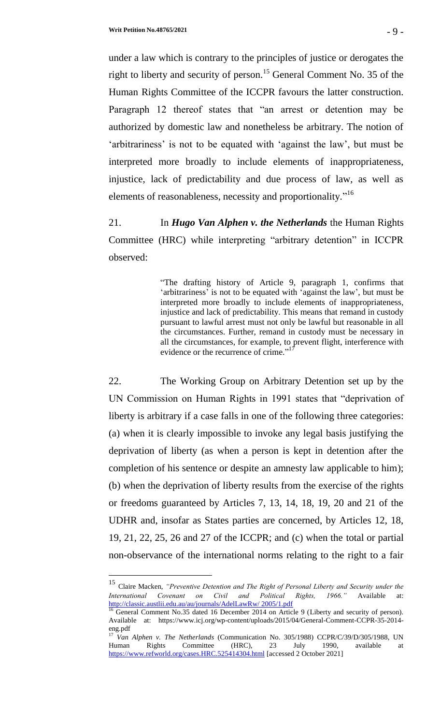$\overline{a}$ 

under a law which is contrary to the principles of justice or derogates the right to liberty and security of person.<sup>15</sup> General Comment No. 35 of the Human Rights Committee of the ICCPR favours the latter construction. Paragraph 12 thereof states that "an arrest or detention may be authorized by domestic law and nonetheless be arbitrary. The notion of 'arbitrariness' is not to be equated with 'against the law', but must be interpreted more broadly to include elements of inappropriateness, injustice, lack of predictability and due process of law, as well as elements of reasonableness, necessity and proportionality."<sup>16</sup>

21. In *Hugo Van Alphen v. the Netherlands* the Human Rights Committee (HRC) while interpreting "arbitrary detention" in ICCPR observed:

> "The drafting history of Article 9, paragraph 1, confirms that 'arbitrariness' is not to be equated with 'against the law', but must be interpreted more broadly to include elements of inappropriateness, injustice and lack of predictability. This means that remand in custody pursuant to lawful arrest must not only be lawful but reasonable in all the circumstances. Further, remand in custody must be necessary in all the circumstances, for example, to prevent flight, interference with evidence or the recurrence of crime."<sup>17</sup>

22. The Working Group on Arbitrary Detention set up by the UN Commission on Human Rights in 1991 states that "deprivation of liberty is arbitrary if a case falls in one of the following three categories: (a) when it is clearly impossible to invoke any legal basis justifying the deprivation of liberty (as when a person is kept in detention after the completion of his sentence or despite an amnesty law applicable to him); (b) when the deprivation of liberty results from the exercise of the rights or freedoms guaranteed by Articles 7, 13, 14, 18, 19, 20 and 21 of the UDHR and, insofar as States parties are concerned, by Articles 12, 18, 19, 21, 22, 25, 26 and 27 of the ICCPR; and (c) when the total or partial non-observance of the international norms relating to the right to a fair

<sup>15</sup> Claire Macken, *"Preventive Detention and The Right of Personal Liberty and Security under the International Covenant on Civil and Political Rights, 1966."* Available at: [http://classic.austlii.edu.au/au/journals/AdelLawRw/ 2005/1.pdf](http://classic.austlii.edu.au/au/journals/AdelLawRw/%202005/1.pdf)

 $16$  General Comment No.35 dated 16 December 2014 on Article 9 (Liberty and security of person). Available at: https://www.icj.org/wp-content/uploads/2015/04/General-Comment-CCPR-35-2014 eng.pdf

<sup>&</sup>lt;sup>17</sup> *Van Alphen v. The Netherlands* (Communication No. 305/1988) CCPR/C/39/D/305/1988, UN Human Rights Committee (HRC), 23 July 1990, available at <https://www.refworld.org/cases.HRC.525414304.html> [accessed 2 October 2021]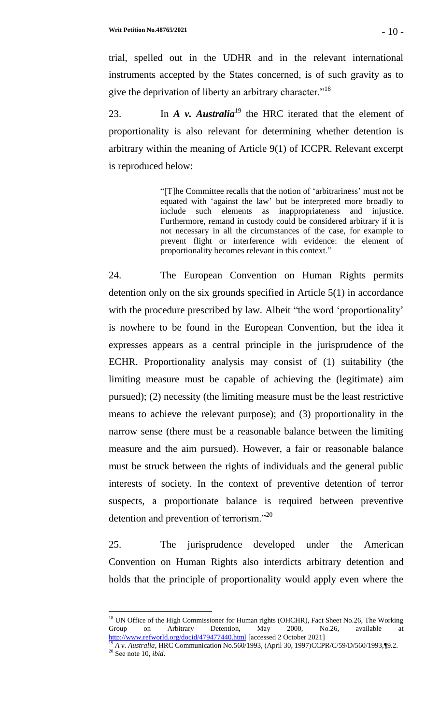trial, spelled out in the UDHR and in the relevant international instruments accepted by the States concerned, is of such gravity as to give the deprivation of liberty an arbitrary character."<sup>18</sup>

23. In *A v. Australia*<sup>19</sup> the HRC iterated that the element of proportionality is also relevant for determining whether detention is arbitrary within the meaning of Article 9(1) of ICCPR. Relevant excerpt is reproduced below:

> "[T]he Committee recalls that the notion of 'arbitrariness' must not be equated with 'against the law' but be interpreted more broadly to include such elements as inappropriateness and injustice. Furthermore, remand in custody could be considered arbitrary if it is not necessary in all the circumstances of the case, for example to prevent flight or interference with evidence: the element of proportionality becomes relevant in this context."

24. The European Convention on Human Rights permits detention only on the six grounds specified in Article 5(1) in accordance with the procedure prescribed by law. Albeit "the word 'proportionality' is nowhere to be found in the European Convention, but the idea it expresses appears as a central principle in the jurisprudence of the ECHR. Proportionality analysis may consist of (1) suitability (the limiting measure must be capable of achieving the (legitimate) aim pursued); (2) necessity (the limiting measure must be the least restrictive means to achieve the relevant purpose); and (3) proportionality in the narrow sense (there must be a reasonable balance between the limiting measure and the aim pursued). However, a fair or reasonable balance must be struck between the rights of individuals and the general public interests of society. In the context of preventive detention of terror suspects, a proportionate balance is required between preventive detention and prevention of terrorism."<sup>20</sup>

25. The jurisprudence developed under the American Convention on Human Rights also interdicts arbitrary detention and holds that the principle of proportionality would apply even where the

<sup>&</sup>lt;sup>18</sup> UN Office of the High Commissioner for Human rights (OHCHR), Fact Sheet No.26, The Working Group on Arbitrary Detention, May 2000, No.26, available at <http://www.refworld.org/docid/479477440.html> [accessed 2 October 2021]

<sup>19</sup> *A v. Australia*, HRC Communication No.560/1993, (April 30, 1997)CCPR/C/59/D/560/1993,¶9.2. <sup>20</sup> See note 10, *ibid*.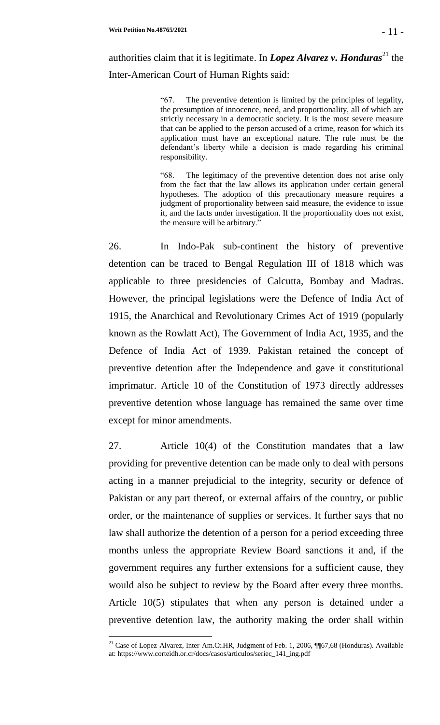"67. The preventive detention is limited by the principles of legality, the presumption of innocence, need, and proportionality, all of which are strictly necessary in a democratic society. It is the most severe measure that can be applied to the person accused of a crime, reason for which its application must have an exceptional nature. The rule must be the defendant's liberty while a decision is made regarding his criminal responsibility.

"68. The legitimacy of the preventive detention does not arise only from the fact that the law allows its application under certain general hypotheses. The adoption of this precautionary measure requires a judgment of proportionality between said measure, the evidence to issue it, and the facts under investigation. If the proportionality does not exist, the measure will be arbitrary."

26. In Indo-Pak sub-continent the history of preventive detention can be traced to Bengal Regulation III of 1818 which was applicable to three presidencies of Calcutta, Bombay and Madras. However, the principal legislations were the Defence of India Act of 1915, the Anarchical and Revolutionary Crimes Act of 1919 (popularly known as the Rowlatt Act), The Government of India Act, 1935, and the Defence of India Act of 1939. Pakistan retained the concept of preventive detention after the Independence and gave it constitutional imprimatur. Article 10 of the Constitution of 1973 directly addresses preventive detention whose language has remained the same over time except for minor amendments.

27. Article 10(4) of the Constitution mandates that a law providing for preventive detention can be made only to deal with persons acting in a manner prejudicial to the integrity, security or defence of Pakistan or any part thereof, or external affairs of the country, or public order, or the maintenance of supplies or services. It further says that no law shall authorize the detention of a person for a period exceeding three months unless the appropriate Review Board sanctions it and, if the government requires any further extensions for a sufficient cause, they would also be subject to review by the Board after every three months. Article 10(5) stipulates that when any person is detained under a preventive detention law, the authority making the order shall within

<sup>&</sup>lt;sup>21</sup> Case of Lopez-Alvarez, Inter-Am.Ct.HR, Judgment of Feb. 1, 2006, ¶¶67,68 (Honduras). Available at: https://www.corteidh.or.cr/docs/casos/articulos/seriec\_141\_ing.pdf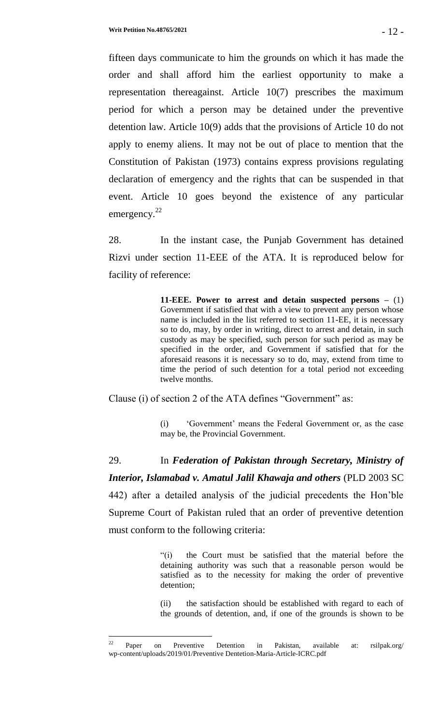fifteen days communicate to him the grounds on which it has made the order and shall afford him the earliest opportunity to make a representation thereagainst. Article 10(7) prescribes the maximum period for which a person may be detained under the preventive detention law. Article 10(9) adds that the provisions of Article 10 do not apply to enemy aliens. It may not be out of place to mention that the Constitution of Pakistan (1973) contains express provisions regulating declaration of emergency and the rights that can be suspended in that event. Article 10 goes beyond the existence of any particular emergency.<sup>22</sup>

28. In the instant case, the Punjab Government has detained Rizvi under section 11-EEE of the ATA. It is reproduced below for facility of reference:

> **11-EEE. Power to arrest and detain suspected persons –** (1) Government if satisfied that with a view to prevent any person whose name is included in the list referred to section 11-EE, it is necessary so to do, may, by order in writing, direct to arrest and detain, in such custody as may be specified, such person for such period as may be specified in the order, and Government if satisfied that for the aforesaid reasons it is necessary so to do, may, extend from time to time the period of such detention for a total period not exceeding twelve months.

Clause (i) of section 2 of the ATA defines "Government" as:

(i) 'Government' means the Federal Government or, as the case may be, the Provincial Government.

29. In *Federation of Pakistan through Secretary, Ministry of Interior, Islamabad v. Amatul Jalil Khawaja and others* (PLD 2003 SC 442) after a detailed analysis of the judicial precedents the Hon'ble Supreme Court of Pakistan ruled that an order of preventive detention must conform to the following criteria:

> "(i) the Court must be satisfied that the material before the detaining authority was such that a reasonable person would be satisfied as to the necessity for making the order of preventive detention;

> (ii) the satisfaction should be established with regard to each of the grounds of detention, and, if one of the grounds is shown to be

 $22$ <sup>22</sup> Paper on Preventive Detention in Pakistan, available at: rsilpak.org/ wp-content/uploads/2019/01/Preventive Dentetion-Maria-Article-ICRC.pdf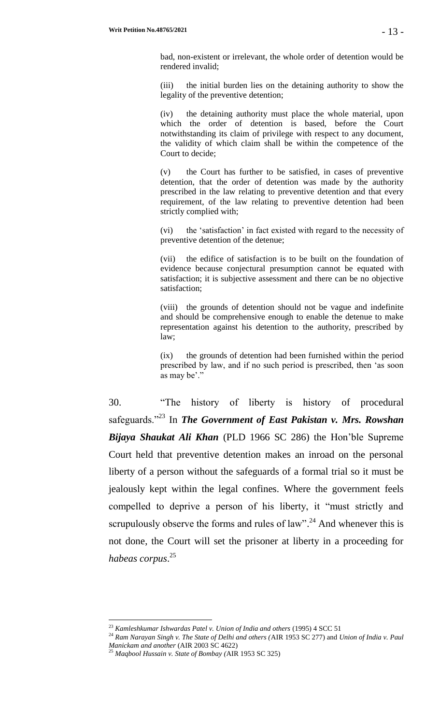bad, non-existent or irrelevant, the whole order of detention would be rendered invalid;

(iii) the initial burden lies on the detaining authority to show the legality of the preventive detention;

(iv) the detaining authority must place the whole material, upon which the order of detention is based, before the Court notwithstanding its claim of privilege with respect to any document, the validity of which claim shall be within the competence of the Court to decide;

(v) the Court has further to be satisfied, in cases of preventive detention, that the order of detention was made by the authority prescribed in the law relating to preventive detention and that every requirement, of the law relating to preventive detention had been strictly complied with;

(vi) the 'satisfaction' in fact existed with regard to the necessity of preventive detention of the detenue;

(vii) the edifice of satisfaction is to be built on the foundation of evidence because conjectural presumption cannot be equated with satisfaction; it is subjective assessment and there can be no objective satisfaction;

(viii) the grounds of detention should not be vague and indefinite and should be comprehensive enough to enable the detenue to make representation against his detention to the authority, prescribed by law;

(ix) the grounds of detention had been furnished within the period prescribed by law, and if no such period is prescribed, then 'as soon as may be'."

30. "The history of liberty is history of procedural safeguards."<sup>23</sup> In *The Government of East Pakistan v. Mrs. Rowshan Bijaya Shaukat Ali Khan* (PLD 1966 SC 286) the Hon'ble Supreme Court held that preventive detention makes an inroad on the personal liberty of a person without the safeguards of a formal trial so it must be jealously kept within the legal confines. Where the government feels compelled to deprive a person of his liberty, it "must strictly and scrupulously observe the forms and rules of  $law$ <sup>24</sup>. And whenever this is not done, the Court will set the prisoner at liberty in a proceeding for *habeas corpus*. 25

<sup>23</sup> *Kamleshkumar Ishwardas Patel v. Union of India and others* (1995) 4 SCC 51

<sup>24</sup> *Ram Narayan Singh v. The State of Delhi and others (*AIR 1953 SC 277) and *Union of India v. Paul Manickam and another* (AIR 2003 SC 4622)

<sup>25</sup> *Maqbool Hussain v. State of Bombay (*AIR 1953 SC 325)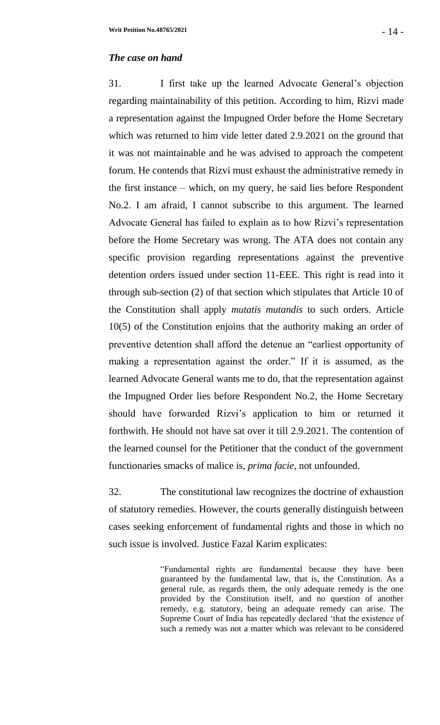## *The case on hand*

31. I first take up the learned Advocate General's objection regarding maintainability of this petition. According to him, Rizvi made a representation against the Impugned Order before the Home Secretary which was returned to him vide letter dated 2.9.2021 on the ground that it was not maintainable and he was advised to approach the competent forum. He contends that Rizvi must exhaust the administrative remedy in the first instance – which, on my query, he said lies before Respondent No.2. I am afraid, I cannot subscribe to this argument. The learned Advocate General has failed to explain as to how Rizvi's representation before the Home Secretary was wrong. The ATA does not contain any specific provision regarding representations against the preventive detention orders issued under section 11-EEE. This right is read into it through sub-section (2) of that section which stipulates that Article 10 of the Constitution shall apply *mutatis mutandis* to such orders. Article 10(5) of the Constitution enjoins that the authority making an order of preventive detention shall afford the detenue an "earliest opportunity of making a representation against the order." If it is assumed, as the learned Advocate General wants me to do, that the representation against the Impugned Order lies before Respondent No.2, the Home Secretary should have forwarded Rizvi's application to him or returned it forthwith. He should not have sat over it till 2.9.2021. The contention of the learned counsel for the Petitioner that the conduct of the government functionaries smacks of malice is, *prima facie*, not unfounded.

32. The constitutional law recognizes the doctrine of exhaustion of statutory remedies. However, the courts generally distinguish between cases seeking enforcement of fundamental rights and those in which no such issue is involved. Justice Fazal Karim explicates:

> "Fundamental rights are fundamental because they have been guaranteed by the fundamental law, that is, the Constitution. As a general rule, as regards them, the only adequate remedy is the one provided by the Constitution itself, and no question of another remedy, e.g. statutory, being an adequate remedy can arise. The Supreme Court of India has repeatedly declared 'that the existence of such a remedy was not a matter which was relevant to be considered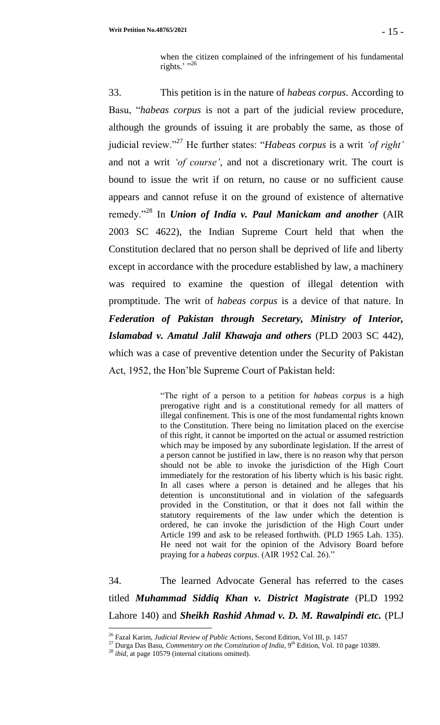when the citizen complained of the infringement of his fundamental rights.' $^{1,26}$ 

33. This petition is in the nature of *habeas corpus*. According to Basu, "*habeas corpus* is not a part of the judicial review procedure, although the grounds of issuing it are probably the same, as those of judicial review."<sup>27</sup> He further states: "*Habeas corpus* is a writ *'of right'* and not a writ *'of course'*, and not a discretionary writ. The court is bound to issue the writ if on return, no cause or no sufficient cause appears and cannot refuse it on the ground of existence of alternative remedy."<sup>28</sup> In *Union of India v. Paul Manickam and another* (AIR 2003 SC 4622), the Indian Supreme Court held that when the Constitution declared that no person shall be deprived of life and liberty except in accordance with the procedure established by law, a machinery was required to examine the question of illegal detention with promptitude. The writ of *habeas corpus* is a device of that nature. In *Federation of Pakistan through Secretary, Ministry of Interior, Islamabad v. Amatul Jalil Khawaja and others* (PLD 2003 SC 442), which was a case of preventive detention under the Security of Pakistan Act, 1952, the Hon'ble Supreme Court of Pakistan held:

> "The right of a person to a petition for *habeas corpus* is a high prerogative right and is a constitutional remedy for all matters of illegal confinement. This is one of the most fundamental rights known to the Constitution. There being no limitation placed on the exercise of this right, it cannot be imported on the actual or assumed restriction which may be imposed by any subordinate legislation. If the arrest of a person cannot be justified in law, there is no reason why that person should not be able to invoke the jurisdiction of the High Court immediately for the restoration of his liberty which is his basic right. In all cases where a person is detained and he alleges that his detention is unconstitutional and in violation of the safeguards provided in the Constitution, or that it does not fall within the statutory requirements of the law under which the detention is ordered, he can invoke the jurisdiction of the High Court under Article 199 and ask to be released forthwith. (PLD 1965 Lah. 135). He need not wait for the opinion of the Advisory Board before praying for a *habeas corpus*. (AIR 1952 Cal. 26)."

34. The learned Advocate General has referred to the cases titled *Muhammad Siddiq Khan v. District Magistrate* (PLD 1992 Lahore 140) and *Sheikh Rashid Ahmad v. D. M. Rawalpindi etc.* (PLJ

<sup>26</sup> Fazal Karim, *Judicial Review of Public Actions*, Second Edition, Vol III, p. 1457

<sup>&</sup>lt;sup>27</sup> Durga Das Basu, *Commentary on the Constitution of India*, 9<sup>th</sup> Edition, Vol. 10 page 10389.

<sup>28</sup> *ibid*, at page 10579 (internal citations omitted).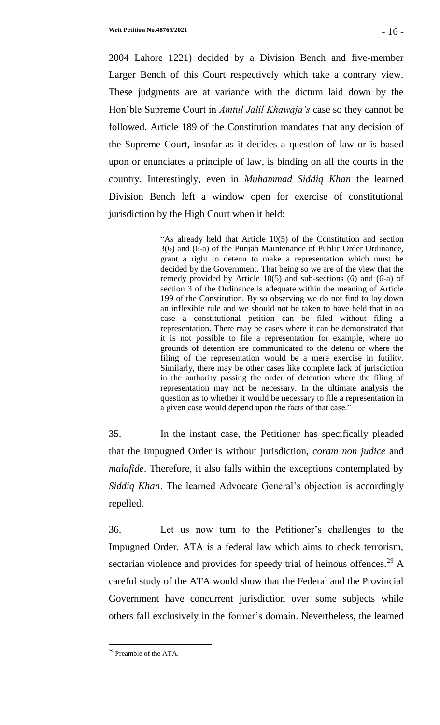2004 Lahore 1221) decided by a Division Bench and five-member Larger Bench of this Court respectively which take a contrary view. These judgments are at variance with the dictum laid down by the Hon'ble Supreme Court in *Amtul Jalil Khawaja's* case so they cannot be followed. Article 189 of the Constitution mandates that any decision of the Supreme Court, insofar as it decides a question of law or is based upon or enunciates a principle of law, is binding on all the courts in the country. Interestingly, even in *Muhammad Siddiq Khan* the learned Division Bench left a window open for exercise of constitutional jurisdiction by the High Court when it held:

> "As already held that Article 10(5) of the Constitution and section 3(6) and (6-a) of the Punjab Maintenance of Public Order Ordinance, grant a right to detenu to make a representation which must be decided by the Government. That being so we are of the view that the remedy provided by Article 10(5) and sub-sections (6) and (6-a) of section 3 of the Ordinance is adequate within the meaning of Article 199 of the Constitution. By so observing we do not find to lay down an inflexible rule and we should not be taken to have held that in no case a constitutional petition can be filed without filing a representation. There may be cases where it can be demonstrated that it is not possible to file a representation for example, where no grounds of detention are communicated to the detenu or where the filing of the representation would be a mere exercise in futility. Similarly, there may be other cases like complete lack of jurisdiction in the authority passing the order of detention where the filing of representation may not be necessary. In the ultimate analysis the question as to whether it would be necessary to file a representation in a given case would depend upon the facts of that case."

35. In the instant case, the Petitioner has specifically pleaded that the Impugned Order is without jurisdiction, *coram non judice* and *malafide*. Therefore, it also falls within the exceptions contemplated by *Siddiq Khan*. The learned Advocate General's objection is accordingly repelled.

36. Let us now turn to the Petitioner's challenges to the Impugned Order. ATA is a federal law which aims to check terrorism, sectarian violence and provides for speedy trial of heinous offences.<sup>29</sup> A careful study of the ATA would show that the Federal and the Provincial Government have concurrent jurisdiction over some subjects while others fall exclusively in the former's domain. Nevertheless, the learned

l

<sup>&</sup>lt;sup>29</sup> Preamble of the ATA.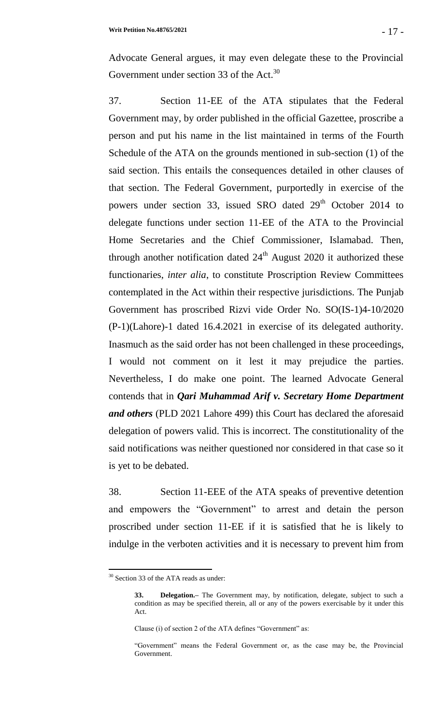Advocate General argues, it may even delegate these to the Provincial Government under section 33 of the Act.<sup>30</sup>

37. Section 11-EE of the ATA stipulates that the Federal Government may, by order published in the official Gazettee, proscribe a person and put his name in the list maintained in terms of the Fourth Schedule of the ATA on the grounds mentioned in sub-section (1) of the said section. This entails the consequences detailed in other clauses of that section. The Federal Government, purportedly in exercise of the powers under section 33, issued SRO dated  $29<sup>th</sup>$  October 2014 to delegate functions under section 11-EE of the ATA to the Provincial Home Secretaries and the Chief Commissioner, Islamabad. Then, through another notification dated  $24<sup>th</sup>$  August 2020 it authorized these functionaries, *inter alia*, to constitute Proscription Review Committees contemplated in the Act within their respective jurisdictions. The Punjab Government has proscribed Rizvi vide Order No. SO(IS-1)4-10/2020 (P-1)(Lahore)-1 dated 16.4.2021 in exercise of its delegated authority. Inasmuch as the said order has not been challenged in these proceedings, I would not comment on it lest it may prejudice the parties. Nevertheless, I do make one point. The learned Advocate General contends that in *Qari Muhammad Arif v. Secretary Home Department and others* (PLD 2021 Lahore 499) this Court has declared the aforesaid delegation of powers valid. This is incorrect. The constitutionality of the said notifications was neither questioned nor considered in that case so it is yet to be debated.

38. Section 11-EEE of the ATA speaks of preventive detention and empowers the "Government" to arrest and detain the person proscribed under section 11-EE if it is satisfied that he is likely to indulge in the verboten activities and it is necessary to prevent him from

<sup>&</sup>lt;sup>30</sup> Section 33 of the ATA reads as under:

**<sup>33.</sup> Delegation.–** The Government may, by notification, delegate, subject to such a condition as may be specified therein, all or any of the powers exercisable by it under this Act.

Clause (i) of section 2 of the ATA defines "Government" as:

<sup>&</sup>quot;Government" means the Federal Government or, as the case may be, the Provincial Government.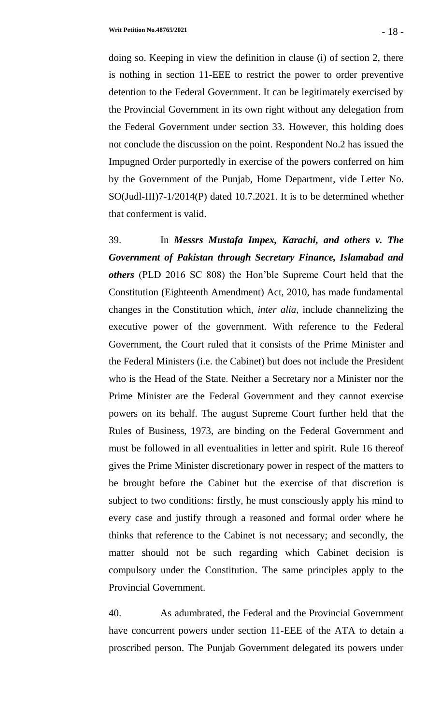doing so. Keeping in view the definition in clause (i) of section 2, there is nothing in section 11-EEE to restrict the power to order preventive detention to the Federal Government. It can be legitimately exercised by the Provincial Government in its own right without any delegation from the Federal Government under section 33. However, this holding does not conclude the discussion on the point. Respondent No.2 has issued the Impugned Order purportedly in exercise of the powers conferred on him by the Government of the Punjab, Home Department, vide Letter No. SO(Judl-III)7-1/2014(P) dated 10.7.2021. It is to be determined whether that conferment is valid.

39. In *Messrs Mustafa Impex, Karachi, and others v. The Government of Pakistan through Secretary Finance, Islamabad and others* (PLD 2016 SC 808) the Hon'ble Supreme Court held that the Constitution (Eighteenth Amendment) Act, 2010, has made fundamental changes in the Constitution which, *inter alia*, include channelizing the executive power of the government. With reference to the Federal Government, the Court ruled that it consists of the Prime Minister and the Federal Ministers (i.e. the Cabinet) but does not include the President who is the Head of the State. Neither a Secretary nor a Minister nor the Prime Minister are the Federal Government and they cannot exercise powers on its behalf. The august Supreme Court further held that the Rules of Business, 1973, are binding on the Federal Government and must be followed in all eventualities in letter and spirit. Rule 16 thereof gives the Prime Minister discretionary power in respect of the matters to be brought before the Cabinet but the exercise of that discretion is subject to two conditions: firstly, he must consciously apply his mind to every case and justify through a reasoned and formal order where he thinks that reference to the Cabinet is not necessary; and secondly, the matter should not be such regarding which Cabinet decision is compulsory under the Constitution. The same principles apply to the Provincial Government.

40. As adumbrated, the Federal and the Provincial Government have concurrent powers under section 11-EEE of the ATA to detain a proscribed person. The Punjab Government delegated its powers under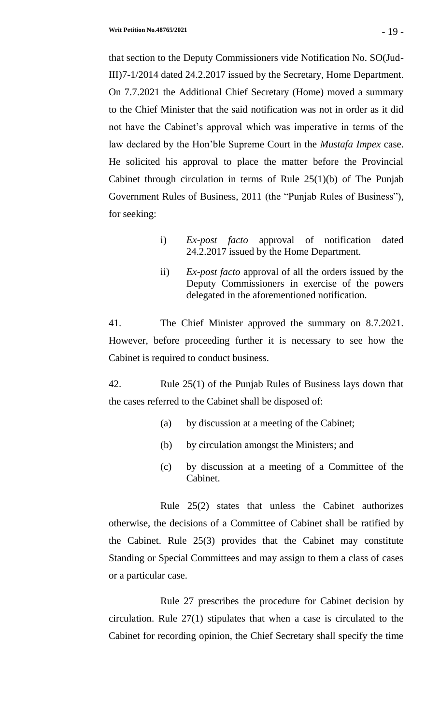that section to the Deputy Commissioners vide Notification No. SO(Jud-III)7-1/2014 dated 24.2.2017 issued by the Secretary, Home Department. On 7.7.2021 the Additional Chief Secretary (Home) moved a summary to the Chief Minister that the said notification was not in order as it did not have the Cabinet's approval which was imperative in terms of the law declared by the Hon'ble Supreme Court in the *Mustafa Impex* case. He solicited his approval to place the matter before the Provincial Cabinet through circulation in terms of Rule 25(1)(b) of The Punjab Government Rules of Business, 2011 (the "Punjab Rules of Business"), for seeking:

- i) *Ex-post facto* approval of notification dated 24.2.2017 issued by the Home Department.
- ii) *Ex-post facto* approval of all the orders issued by the Deputy Commissioners in exercise of the powers delegated in the aforementioned notification.

41. The Chief Minister approved the summary on 8.7.2021. However, before proceeding further it is necessary to see how the Cabinet is required to conduct business.

42. Rule 25(1) of the Punjab Rules of Business lays down that the cases referred to the Cabinet shall be disposed of:

- (a) by discussion at a meeting of the Cabinet;
- (b) by circulation amongst the Ministers; and
- (c) by discussion at a meeting of a Committee of the Cabinet.

Rule 25(2) states that unless the Cabinet authorizes otherwise, the decisions of a Committee of Cabinet shall be ratified by the Cabinet. Rule 25(3) provides that the Cabinet may constitute Standing or Special Committees and may assign to them a class of cases or a particular case.

Rule 27 prescribes the procedure for Cabinet decision by circulation. Rule 27(1) stipulates that when a case is circulated to the Cabinet for recording opinion, the Chief Secretary shall specify the time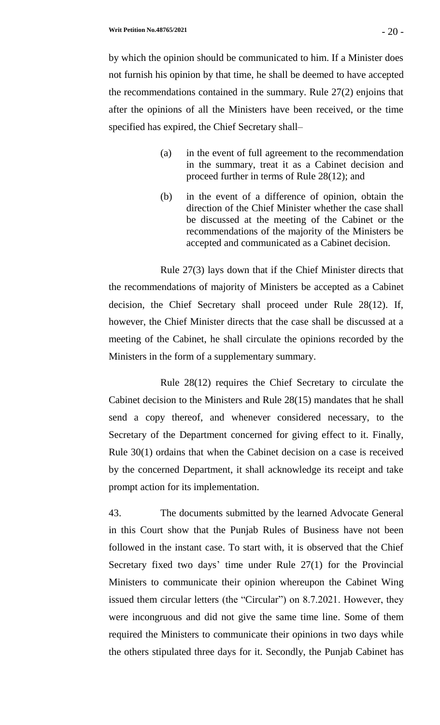by which the opinion should be communicated to him. If a Minister does not furnish his opinion by that time, he shall be deemed to have accepted the recommendations contained in the summary. Rule 27(2) enjoins that after the opinions of all the Ministers have been received, or the time specified has expired, the Chief Secretary shall–

- (a) in the event of full agreement to the recommendation in the summary, treat it as a Cabinet decision and proceed further in terms of Rule 28(12); and
- (b) in the event of a difference of opinion, obtain the direction of the Chief Minister whether the case shall be discussed at the meeting of the Cabinet or the recommendations of the majority of the Ministers be accepted and communicated as a Cabinet decision.

Rule 27(3) lays down that if the Chief Minister directs that the recommendations of majority of Ministers be accepted as a Cabinet decision, the Chief Secretary shall proceed under Rule 28(12). If, however, the Chief Minister directs that the case shall be discussed at a meeting of the Cabinet, he shall circulate the opinions recorded by the Ministers in the form of a supplementary summary.

Rule 28(12) requires the Chief Secretary to circulate the Cabinet decision to the Ministers and Rule 28(15) mandates that he shall send a copy thereof, and whenever considered necessary, to the Secretary of the Department concerned for giving effect to it. Finally, Rule 30(1) ordains that when the Cabinet decision on a case is received by the concerned Department, it shall acknowledge its receipt and take prompt action for its implementation.

43. The documents submitted by the learned Advocate General in this Court show that the Punjab Rules of Business have not been followed in the instant case. To start with, it is observed that the Chief Secretary fixed two days' time under Rule 27(1) for the Provincial Ministers to communicate their opinion whereupon the Cabinet Wing issued them circular letters (the "Circular") on 8.7.2021. However, they were incongruous and did not give the same time line. Some of them required the Ministers to communicate their opinions in two days while the others stipulated three days for it. Secondly, the Punjab Cabinet has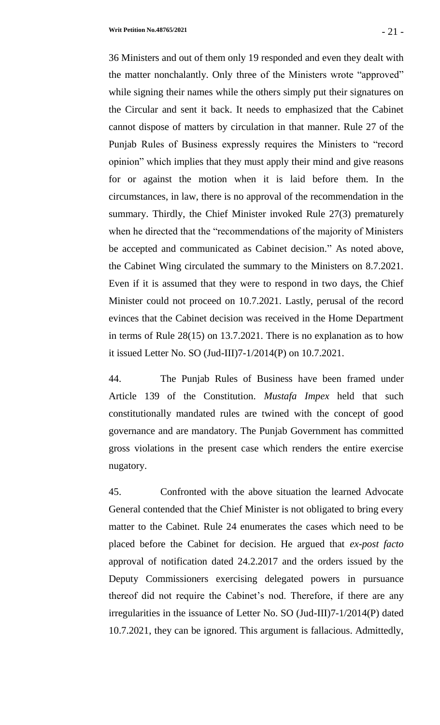36 Ministers and out of them only 19 responded and even they dealt with the matter nonchalantly. Only three of the Ministers wrote "approved" while signing their names while the others simply put their signatures on the Circular and sent it back. It needs to emphasized that the Cabinet cannot dispose of matters by circulation in that manner. Rule 27 of the Punjab Rules of Business expressly requires the Ministers to "record opinion" which implies that they must apply their mind and give reasons for or against the motion when it is laid before them. In the circumstances, in law, there is no approval of the recommendation in the summary. Thirdly, the Chief Minister invoked Rule 27(3) prematurely when he directed that the "recommendations of the majority of Ministers be accepted and communicated as Cabinet decision." As noted above, the Cabinet Wing circulated the summary to the Ministers on 8.7.2021. Even if it is assumed that they were to respond in two days, the Chief Minister could not proceed on 10.7.2021. Lastly, perusal of the record evinces that the Cabinet decision was received in the Home Department in terms of Rule 28(15) on 13.7.2021. There is no explanation as to how it issued Letter No. SO (Jud-III)7-1/2014(P) on 10.7.2021.

44. The Punjab Rules of Business have been framed under Article 139 of the Constitution. *Mustafa Impex* held that such constitutionally mandated rules are twined with the concept of good governance and are mandatory. The Punjab Government has committed gross violations in the present case which renders the entire exercise nugatory.

45. Confronted with the above situation the learned Advocate General contended that the Chief Minister is not obligated to bring every matter to the Cabinet. Rule 24 enumerates the cases which need to be placed before the Cabinet for decision. He argued that *ex-post facto* approval of notification dated 24.2.2017 and the orders issued by the Deputy Commissioners exercising delegated powers in pursuance thereof did not require the Cabinet's nod. Therefore, if there are any irregularities in the issuance of Letter No. SO (Jud-III)7-1/2014(P) dated 10.7.2021, they can be ignored. This argument is fallacious. Admittedly,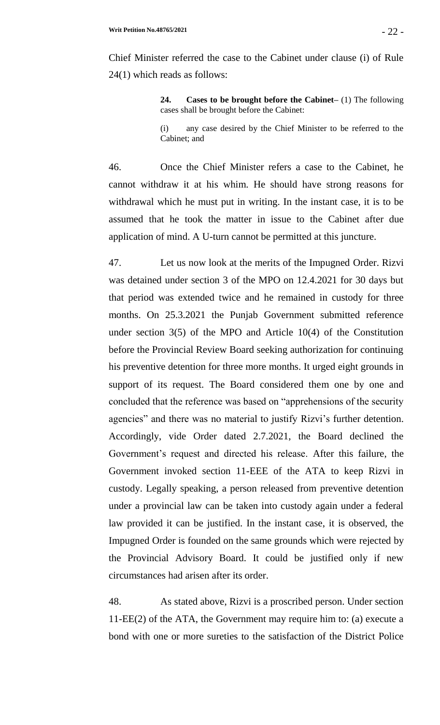Chief Minister referred the case to the Cabinet under clause (i) of Rule 24(1) which reads as follows:

> **24. Cases to be brought before the Cabinet–** (1) The following cases shall be brought before the Cabinet:

> (i) any case desired by the Chief Minister to be referred to the Cabinet; and

46. Once the Chief Minister refers a case to the Cabinet, he cannot withdraw it at his whim. He should have strong reasons for withdrawal which he must put in writing. In the instant case, it is to be assumed that he took the matter in issue to the Cabinet after due application of mind. A U-turn cannot be permitted at this juncture.

47. Let us now look at the merits of the Impugned Order. Rizvi was detained under section 3 of the MPO on 12.4.2021 for 30 days but that period was extended twice and he remained in custody for three months. On 25.3.2021 the Punjab Government submitted reference under section 3(5) of the MPO and Article 10(4) of the Constitution before the Provincial Review Board seeking authorization for continuing his preventive detention for three more months. It urged eight grounds in support of its request. The Board considered them one by one and concluded that the reference was based on "apprehensions of the security agencies" and there was no material to justify Rizvi's further detention. Accordingly, vide Order dated 2.7.2021, the Board declined the Government's request and directed his release. After this failure, the Government invoked section 11-EEE of the ATA to keep Rizvi in custody. Legally speaking, a person released from preventive detention under a provincial law can be taken into custody again under a federal law provided it can be justified. In the instant case, it is observed, the Impugned Order is founded on the same grounds which were rejected by the Provincial Advisory Board. It could be justified only if new circumstances had arisen after its order.

48. As stated above, Rizvi is a proscribed person. Under section 11-EE(2) of the ATA, the Government may require him to: (a) execute a bond with one or more sureties to the satisfaction of the District Police